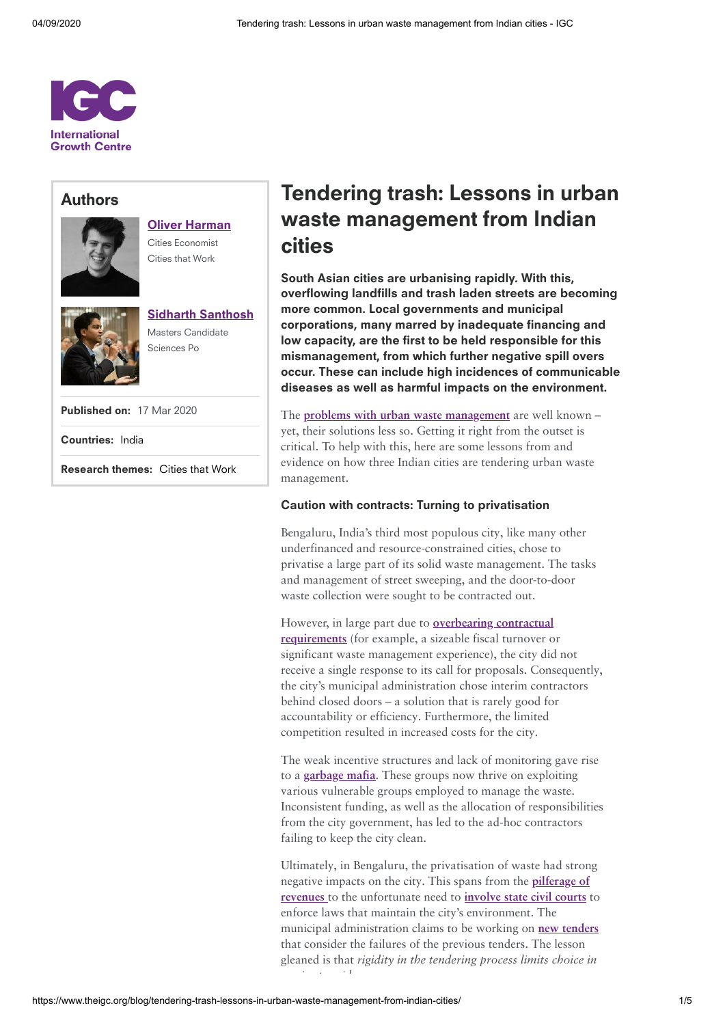

# Authors



Oliver [Harman](https://www.theigc.org/person/oliver-harman/) Cities Economist Cities that Work



Sidharth [Santhosh](https://www.theigc.org/person/sidharth-santhosh/) Masters Candidate

Sciences Po

Published on: 17 Mar 2020

Countries: [India](https://www.theigc.org/search/?hidden-s&select-country-cat%5B0%5D=india)

Research themes: [Cities that](https://www.theigc.org/search/?hidden-s&select-research-themes%5B0%5D=cities-that-work) Work

# Tendering trash: Lessons in urban waste management from Indian cities

South Asian cities are urbanising rapidly. With this, overflowing landfills and trash laden streets are becoming more common. Local governments and municipal corporations, many marred by inadequate financing and low capacity, are the first to be held responsible for this mismanagement, from which further negative spill overs occur. These can include high incidences of communicable diseases as well as harmful impacts on the environment.

The **problems with urban waste [management](http://documents.worldbank.org/curated/en/178191468035334268/Improving-management-of-municipal-solid-waste-in-India-overview-and-challenges)** are well known – yet, their solutions less so. Getting it right from the outset is critical. To help with this, here are some lessons from and evidence on how three Indian cities are tendering urban waste management.

#### Caution with contracts: Turning to privatisation

Bengaluru, India's third most populous city, like many other underfinanced and resource-constrained cities, chose to privatise a large part of its solid waste management. The tasks and management of street sweeping, and the door-to-door waste collection were sought to be contracted out.

However, in large part due to **[overbearing contractual](https://www.epw.in/engage/article/how-has-municipal-red-tape-led-waste-being) requirements** (for example, a sizeable fiscal turnover or significant waste management experience), the city did not receive a single response to its call for proposals. Consequently, the city's municipal administration chose interim contractors behind closed doors – a solution that is rarely good for accountability or efficiency. Furthermore, the limited competition resulted in increased costs for the city.

The weak incentive structures and lack of monitoring gave rise to a **[garbage](https://www.deccanherald.com/opinion/first-edit/remove-garbage-and-the-mafia-760787.html) mafia**. These groups now thrive on exploiting various vulnerable groups employed to manage the waste. Inconsistent funding, as well as the allocation of responsibilities from the city government, has led to the ad-hoc contractors failing to keep the city clean.

Ultimately, in Bengaluru, the privatisation of waste had strong negative impacts on the city. This spans from the **pilferage of revenues** to the [unfortunate](https://www.deccanherald.com/city/bengaluru-crime/acb-to-probe-rs-384-crore-garbage-scam-743647.html) need to **[involve](https://esgindia.org/new/campaigns/swm/karnataka-high-court-monitors-state-of-solid-waste-management-in-bangalore/) state civil courts** to enforce laws that maintain the city's environment. The municipal administration claims to be working on **new [tenders](https://economictimes.indiatimes.com/news/politics-and-nation/bruhat-bengaluru-mahanagara-palikes-new-garbage-plan-may-go-to-waste/articleshow/66915352.cms)** that consider the failures of the previous tenders. The lesson gleaned is that *rigidity in the tendering process limits choice in i p id*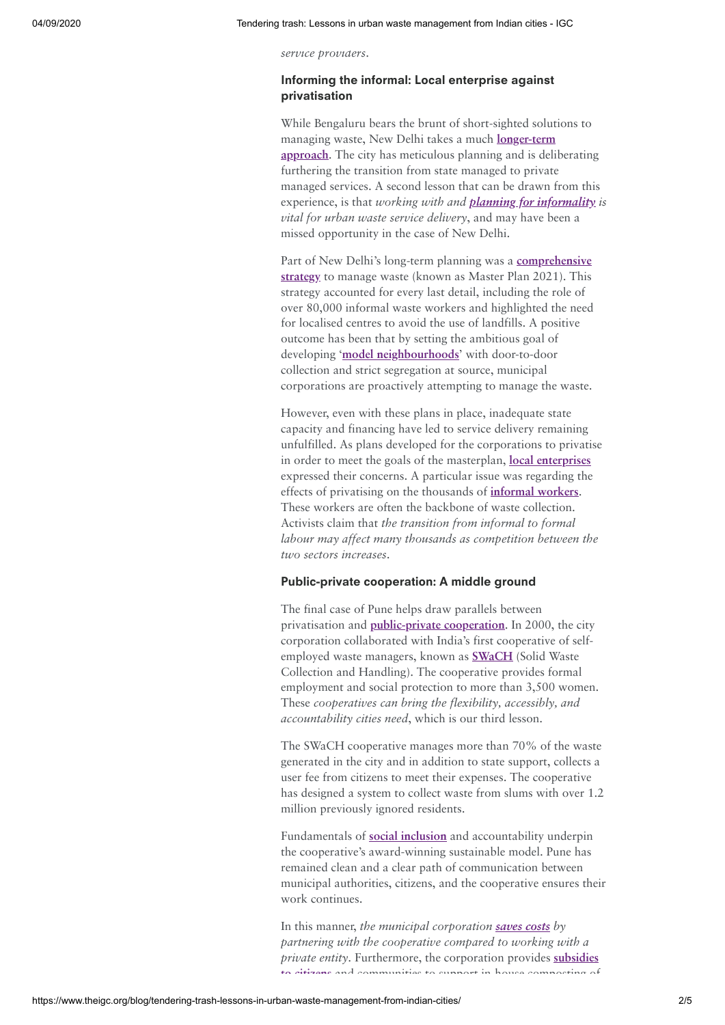*service providers*.

## Informing the informal: Local enterprise against privatisation

While Bengaluru bears the brunt of short-sighted solutions to managing waste, New Delhi takes a much **longer-term approach**. The [city has meticulous](https://www.nationalheraldindia.com/environment/solid-waste-management-remains-a-giant-problem-in-delhi) planning and is deliberating furthering the transition from state managed to private managed services. A second lesson that can be drawn from this experience, is that *working with and [planning for](https://www.tandfonline.com/doi/abs/10.1080/00220380500356662) informality is vital for urban waste service delivery*, and may have been a missed opportunity in the case of New Delhi.

Part of New Delhi's long-term planning was a **[comprehensive](https://dda.org.in/tendernotices_docs/may1/MPD-2021_31.03.2017260417.pdf) strategy** to manage waste (known as Master Plan 2021). This strategy accounted for every last detail, including the role of over 80,000 informal waste workers and highlighted the need for localised centres to avoid the use of landfills. A positive outcome has been that by setting the ambitious goal of developing '**model [neighbourhoods](https://pib.gov.in/newsite/PrintRelease.aspx?relid=171068)**' with door-to-door collection and strict segregation at source, municipal corporations are proactively attempting to manage the waste.

However, even with these plans in place, inadequate state capacity and financing have led to service delivery remaining unfulfilled. As plans developed for the corporations to privatise in order to meet the goals of the masterplan, **local [enterprises](https://www.livemint.com/Politics/xrimgBheTz2fPKDQR22S8I/Activists-question-privatization-in-Delhi-as-Pune-shows-the.html)** expressed their concerns. A particular issue was regarding the effects of privatising on the thousands of **[informal](https://www.wiego.org/blog/can-waste-pickers-help-solve-delhi%E2%80%99s-towering-trash-problem) workers**. These workers are often the backbone of waste collection. Activists claim that *the transition from informal to formal labour may affect many thousands as competition between the two sectors increases*.

### Public-private cooperation: A middle ground

The final case of Pune helps draw parallels between privatisation and **[public-private](https://www.unenvironment.org/news-and-stories/story/empowering-waste-workers-cleaner-safer-city) cooperation**. In 2000, the city corporation collaborated with India's first cooperative of selfemployed waste managers, known as **[SWaCH](https://swachcoop.com/)** (Solid Waste Collection and Handling). The cooperative provides formal employment and social protection to more than 3,500 women. These *cooperatives can bring the flexibility, accessibly, and accountability cities need*, which is our third lesson.

The SWaCH cooperative manages more than 70% of the waste generated in the city and in addition to state support, collects a user fee from citizens to meet their expenses. The cooperative has designed a system to collect waste from slums with over 1.2 million previously ignored residents.

Fundamentals of **social [inclusion](https://www.wri.org/blog/2019/03/urban-transformations-pune-india-waste-pickers-go-trash-treasure)** and accountability underpin the cooperative's award-winning sustainable model. Pune has remained clean and a clear path of communication between municipal authorities, citizens, and the cooperative ensures their work continues.

In this manner, *the municipal corporation [saves](http://documents.worldbank.org/curated/en/697271544470229584/pdf/132827-PUB-9781464813290.pdf) costs by partnering with the cooperative compared to working with a private entity*. [Furthermore,](https://punemirror.indiatimes.com/pune/civic/pmc-to-encourage-composting-at-home-with-a-panel-and-subsidies/articleshow/69816052.cms) the corporation provides **subsidies to citizens** and communities to support in house composting of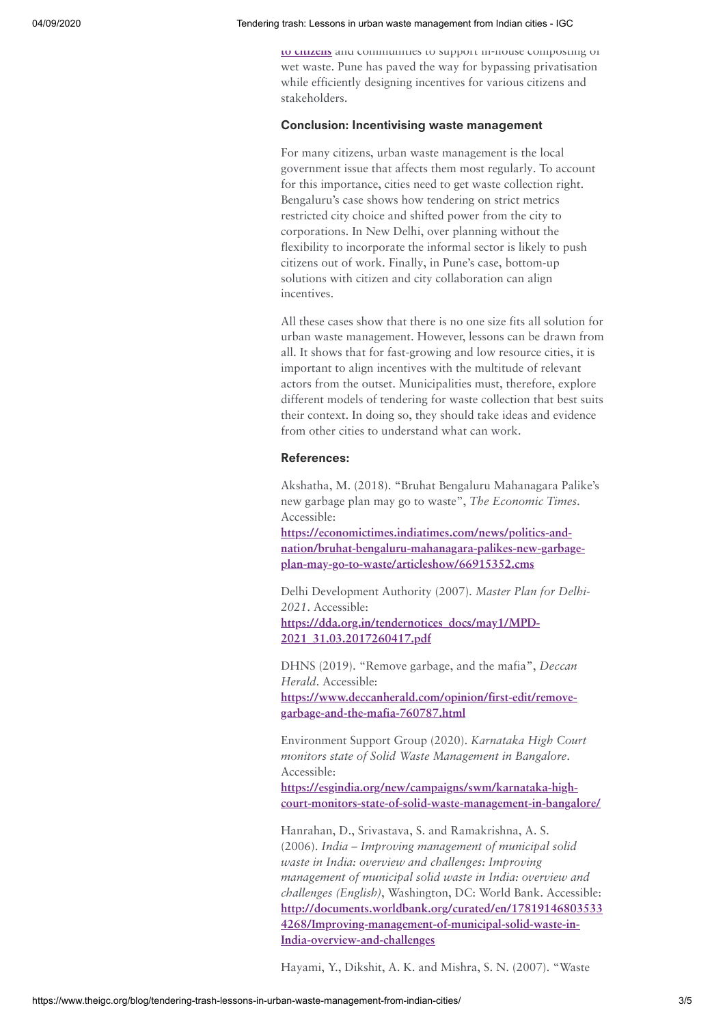**to citizens** and communities to support in-house [composting of](https://punemirror.indiatimes.com/pune/civic/pmc-to-encourage-composting-at-home-with-a-panel-and-subsidies/articleshow/69816052.cms) wet waste. Pune has paved the way for bypassing privatisation while efficiently designing incentives for various citizens and stakeholders.

#### Conclusion: Incentivising waste management

For many citizens, urban waste management is the local government issue that affects them most regularly. To account for this importance, cities need to get waste collection right. Bengaluru's case shows how tendering on strict metrics restricted city choice and shifted power from the city to corporations. In New Delhi, over planning without the flexibility to incorporate the informal sector is likely to push citizens out of work. Finally, in Pune's case, bottom-up solutions with citizen and city collaboration can align incentives.

All these cases show that there is no one size fits all solution for urban waste management. However, lessons can be drawn from all. It shows that for fast-growing and low resource cities, it is important to align incentives with the multitude of relevant actors from the outset. Municipalities must, therefore, explore different models of tendering for waste collection that best suits their context. In doing so, they should take ideas and evidence from other cities to understand what can work.

# References:

Akshatha, M. (2018). "Bruhat Bengaluru Mahanagara Palike's new garbage plan may go to waste", *The Economic Times*. Accessible:

**https://economictimes.indiatimes.com/news/politics-and[nation/bruhat-bengaluru-mahanagara-palikes-new-garbage](https://economictimes.indiatimes.com/news/politics-and-nation/bruhat-bengaluru-mahanagara-palikes-new-garbage-plan-may-go-to-waste/articleshow/66915352.cms)plan-may-go-to-waste/articleshow/66915352.cms**

Delhi Development Authority (2007). *Master Plan for Delhi-2021*. Accessible: **[https://dda.org.in/tendernotices\\_docs/may1/MPD-](https://dda.org.in/tendernotices_docs/may1/MPD-2021_31.03.2017260417.pdf)2021\_31.03.2017260417.pdf**

DHNS (2019). "Remove garbage, and the mafia", *Deccan Herald*. Accessible: **[https://www.deccanherald.com/opinion/first-edit/remove](https://www.deccanherald.com/opinion/first-edit/remove-garbage-and-the-mafia-760787.html)garbage-and-the-mafia-760787.html**

Environment Support Group (2020). *Karnataka High Court monitors state of Solid Waste Management in Bangalore*. Accessible:

**https://esgindia.org/new/campaigns/swm/karnataka-high[court-monitors-state-of-solid-waste-management-in-bangalore/](https://esgindia.org/new/campaigns/swm/karnataka-high-court-monitors-state-of-solid-waste-management-in-bangalore/)**

Hanrahan, D., Srivastava, S. and Ramakrishna, A. S. (2006). *India – Improving management of municipal solid waste in India: overview and challenges: Improving management of municipal solid waste in India: overview and challenges (English)*, Washington, DC: World Bank. Accessible: **[http://documents.worldbank.org/curated/en/17819146803533](http://documents.worldbank.org/curated/en/178191468035334268/Improving-management-of-municipal-solid-waste-in-India-overview-and-challenges) 4268/Improving-management-of-municipal-solid-waste-in-India-overview-and-challenges**

Hayami, Y., Dikshit, A. K. and Mishra, S. N. (2007). "Waste